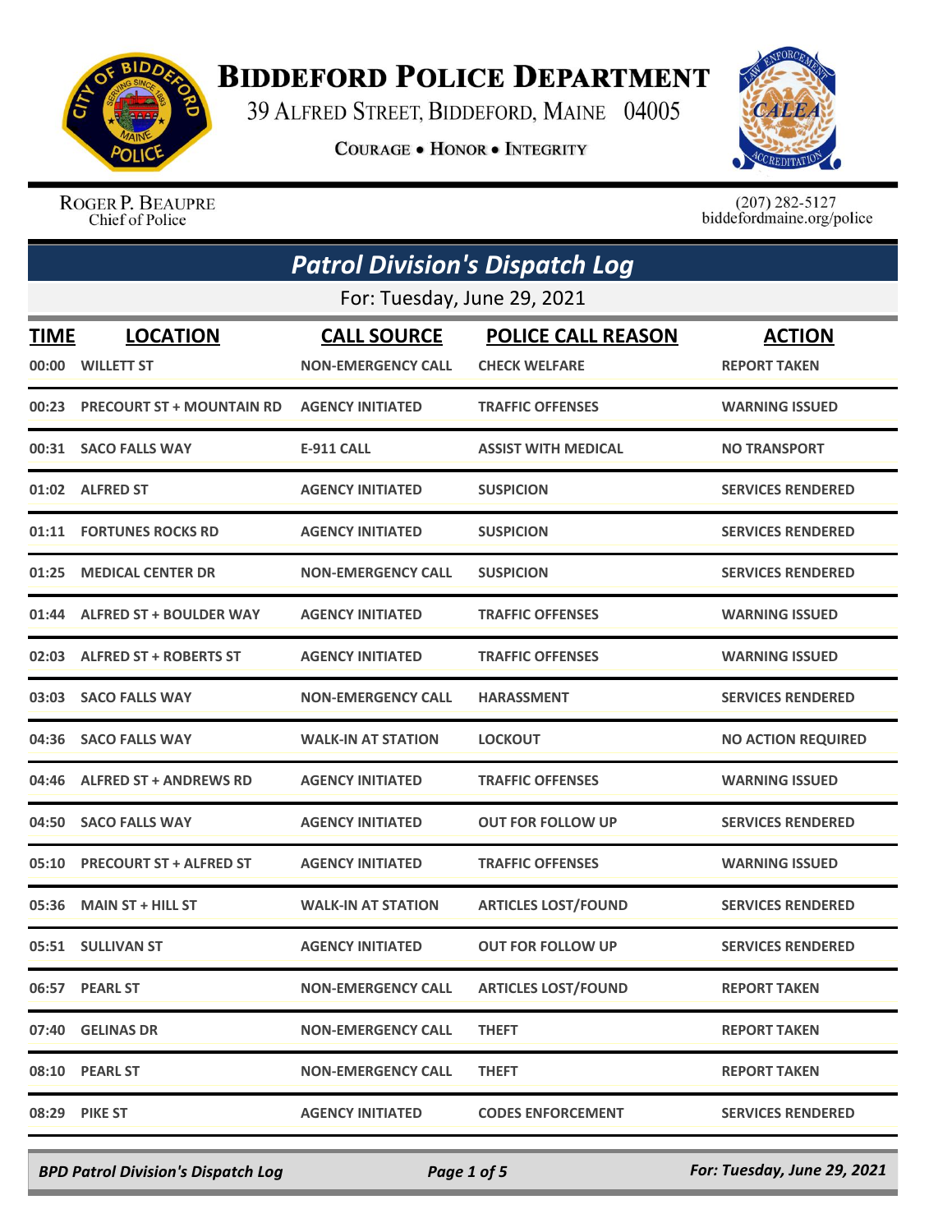

## **BIDDEFORD POLICE DEPARTMENT**

39 ALFRED STREET, BIDDEFORD, MAINE 04005

**COURAGE . HONOR . INTEGRITY** 



ROGER P. BEAUPRE Chief of Police

 $(207)$  282-5127<br>biddefordmaine.org/police

| <b>Patrol Division's Dispatch Log</b> |                                      |                                                 |                                                   |                                      |  |  |
|---------------------------------------|--------------------------------------|-------------------------------------------------|---------------------------------------------------|--------------------------------------|--|--|
|                                       | For: Tuesday, June 29, 2021          |                                                 |                                                   |                                      |  |  |
| <b>TIME</b><br>00:00                  | <b>LOCATION</b><br><b>WILLETT ST</b> | <b>CALL SOURCE</b><br><b>NON-EMERGENCY CALL</b> | <b>POLICE CALL REASON</b><br><b>CHECK WELFARE</b> | <b>ACTION</b><br><b>REPORT TAKEN</b> |  |  |
| 00:23                                 | <b>PRECOURT ST + MOUNTAIN RD</b>     | <b>AGENCY INITIATED</b>                         | <b>TRAFFIC OFFENSES</b>                           | <b>WARNING ISSUED</b>                |  |  |
|                                       | 00:31 SACO FALLS WAY                 | <b>E-911 CALL</b>                               | <b>ASSIST WITH MEDICAL</b>                        | <b>NO TRANSPORT</b>                  |  |  |
| 01:02                                 | <b>ALFRED ST</b>                     | <b>AGENCY INITIATED</b>                         | <b>SUSPICION</b>                                  | <b>SERVICES RENDERED</b>             |  |  |
| 01:11                                 | <b>FORTUNES ROCKS RD</b>             | <b>AGENCY INITIATED</b>                         | <b>SUSPICION</b>                                  | <b>SERVICES RENDERED</b>             |  |  |
| 01:25                                 | <b>MEDICAL CENTER DR</b>             | <b>NON-EMERGENCY CALL</b>                       | <b>SUSPICION</b>                                  | <b>SERVICES RENDERED</b>             |  |  |
| 01:44                                 | <b>ALFRED ST + BOULDER WAY</b>       | <b>AGENCY INITIATED</b>                         | <b>TRAFFIC OFFENSES</b>                           | <b>WARNING ISSUED</b>                |  |  |
| 02:03                                 | <b>ALFRED ST + ROBERTS ST</b>        | <b>AGENCY INITIATED</b>                         | <b>TRAFFIC OFFENSES</b>                           | <b>WARNING ISSUED</b>                |  |  |
| 03:03                                 | <b>SACO FALLS WAY</b>                | <b>NON-EMERGENCY CALL</b>                       | <b>HARASSMENT</b>                                 | <b>SERVICES RENDERED</b>             |  |  |
| 04:36                                 | <b>SACO FALLS WAY</b>                | <b>WALK-IN AT STATION</b>                       | <b>LOCKOUT</b>                                    | <b>NO ACTION REQUIRED</b>            |  |  |
| 04:46                                 | <b>ALFRED ST + ANDREWS RD</b>        | <b>AGENCY INITIATED</b>                         | <b>TRAFFIC OFFENSES</b>                           | <b>WARNING ISSUED</b>                |  |  |
| 04:50                                 | <b>SACO FALLS WAY</b>                | <b>AGENCY INITIATED</b>                         | <b>OUT FOR FOLLOW UP</b>                          | <b>SERVICES RENDERED</b>             |  |  |
| 05:10                                 | <b>PRECOURT ST + ALFRED ST</b>       | <b>AGENCY INITIATED</b>                         | <b>TRAFFIC OFFENSES</b>                           | <b>WARNING ISSUED</b>                |  |  |
| 05:36                                 | <b>MAIN ST + HILL ST</b>             | <b>WALK-IN AT STATION</b>                       | <b>ARTICLES LOST/FOUND</b>                        | <b>SERVICES RENDERED</b>             |  |  |
|                                       | 05:51 SULLIVAN ST                    | <b>AGENCY INITIATED</b>                         | <b>OUT FOR FOLLOW UP</b>                          | <b>SERVICES RENDERED</b>             |  |  |
|                                       | 06:57 PEARL ST                       | <b>NON-EMERGENCY CALL</b>                       | <b>ARTICLES LOST/FOUND</b>                        | <b>REPORT TAKEN</b>                  |  |  |
|                                       | 07:40 GELINAS DR                     | <b>NON-EMERGENCY CALL</b>                       | <b>THEFT</b>                                      | <b>REPORT TAKEN</b>                  |  |  |
|                                       | 08:10 PEARL ST                       | <b>NON-EMERGENCY CALL</b>                       | <b>THEFT</b>                                      | <b>REPORT TAKEN</b>                  |  |  |
|                                       | 08:29 PIKE ST                        | <b>AGENCY INITIATED</b>                         | <b>CODES ENFORCEMENT</b>                          | <b>SERVICES RENDERED</b>             |  |  |

*BPD Patrol Division's Dispatch Log Page 1 of 5 For: Tuesday, June 29, 2021*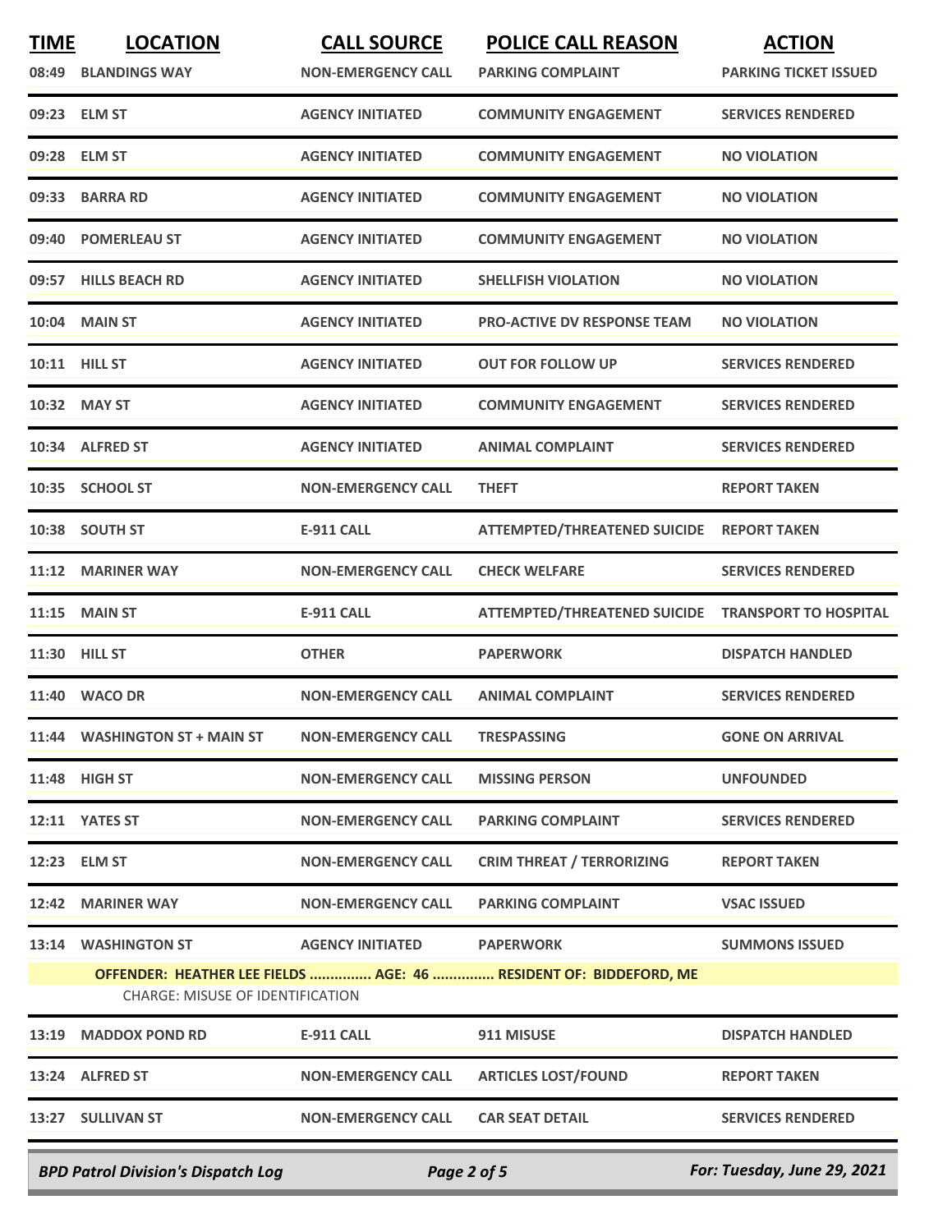| <b>TIME</b>                               | <b>LOCATION</b><br>08:49 BLANDINGS WAY  | <b>CALL SOURCE</b><br><b>NON-EMERGENCY CALL</b> | <b>POLICE CALL REASON</b><br><b>PARKING COMPLAINT</b>             | <b>ACTION</b><br><b>PARKING TICKET ISSUED</b> |
|-------------------------------------------|-----------------------------------------|-------------------------------------------------|-------------------------------------------------------------------|-----------------------------------------------|
|                                           | 09:23 ELM ST                            | <b>AGENCY INITIATED</b>                         | <b>COMMUNITY ENGAGEMENT</b>                                       | <b>SERVICES RENDERED</b>                      |
| 09:28                                     | <b>ELM ST</b>                           | <b>AGENCY INITIATED</b>                         | <b>COMMUNITY ENGAGEMENT</b>                                       | <b>NO VIOLATION</b>                           |
| 09:33                                     | <b>BARRA RD</b>                         | <b>AGENCY INITIATED</b>                         | <b>COMMUNITY ENGAGEMENT</b>                                       | <b>NO VIOLATION</b>                           |
| 09:40                                     | <b>POMERLEAU ST</b>                     | <b>AGENCY INITIATED</b>                         | <b>COMMUNITY ENGAGEMENT</b>                                       | <b>NO VIOLATION</b>                           |
|                                           | 09:57 HILLS BEACH RD                    | <b>AGENCY INITIATED</b>                         | <b>SHELLFISH VIOLATION</b>                                        | <b>NO VIOLATION</b>                           |
| 10:04                                     | <b>MAIN ST</b>                          | <b>AGENCY INITIATED</b>                         | <b>PRO-ACTIVE DV RESPONSE TEAM</b>                                | <b>NO VIOLATION</b>                           |
|                                           | 10:11 HILL ST                           | <b>AGENCY INITIATED</b>                         | <b>OUT FOR FOLLOW UP</b>                                          | <b>SERVICES RENDERED</b>                      |
|                                           | 10:32 MAY ST                            | <b>AGENCY INITIATED</b>                         | <b>COMMUNITY ENGAGEMENT</b>                                       | <b>SERVICES RENDERED</b>                      |
|                                           | 10:34 ALFRED ST                         | <b>AGENCY INITIATED</b>                         | <b>ANIMAL COMPLAINT</b>                                           | <b>SERVICES RENDERED</b>                      |
| 10:35                                     | <b>SCHOOL ST</b>                        | <b>NON-EMERGENCY CALL</b>                       | <b>THEFT</b>                                                      | <b>REPORT TAKEN</b>                           |
| 10:38                                     | <b>SOUTH ST</b>                         | <b>E-911 CALL</b>                               | <b>ATTEMPTED/THREATENED SUICIDE</b>                               | <b>REPORT TAKEN</b>                           |
| 11:12                                     | <b>MARINER WAY</b>                      | <b>NON-EMERGENCY CALL</b>                       | <b>CHECK WELFARE</b>                                              | <b>SERVICES RENDERED</b>                      |
| 11:15                                     | <b>MAIN ST</b>                          | <b>E-911 CALL</b>                               | ATTEMPTED/THREATENED SUICIDE TRANSPORT TO HOSPITAL                |                                               |
| 11:30                                     | <b>HILL ST</b>                          | <b>OTHER</b>                                    | <b>PAPERWORK</b>                                                  | <b>DISPATCH HANDLED</b>                       |
| 11:40                                     | <b>WACO DR</b>                          | <b>NON-EMERGENCY CALL</b>                       | <b>ANIMAL COMPLAINT</b>                                           | <b>SERVICES RENDERED</b>                      |
|                                           | 11:44 WASHINGTON ST + MAIN ST           | <b>NON-EMERGENCY CALL</b>                       | <b>TRESPASSING</b>                                                | <b>GONE ON ARRIVAL</b>                        |
|                                           | 11:48 HIGH ST                           | <b>NON-EMERGENCY CALL</b>                       | <b>MISSING PERSON</b>                                             | <b>UNFOUNDED</b>                              |
|                                           | 12:11 YATES ST                          | <b>NON-EMERGENCY CALL</b>                       | <b>PARKING COMPLAINT</b>                                          | <b>SERVICES RENDERED</b>                      |
|                                           | 12:23 ELM ST                            | <b>NON-EMERGENCY CALL</b>                       | <b>CRIM THREAT / TERRORIZING</b>                                  | <b>REPORT TAKEN</b>                           |
|                                           | 12:42 MARINER WAY                       | <b>NON-EMERGENCY CALL</b>                       | <b>PARKING COMPLAINT</b>                                          | <b>VSAC ISSUED</b>                            |
|                                           | 13:14 WASHINGTON ST                     | <b>AGENCY INITIATED</b>                         | <b>PAPERWORK</b>                                                  | <b>SUMMONS ISSUED</b>                         |
|                                           | <b>CHARGE: MISUSE OF IDENTIFICATION</b> |                                                 | OFFENDER: HEATHER LEE FIELDS  AGE: 46  RESIDENT OF: BIDDEFORD, ME |                                               |
|                                           | 13:19 MADDOX POND RD                    | <b>E-911 CALL</b>                               | 911 MISUSE                                                        | <b>DISPATCH HANDLED</b>                       |
|                                           | 13:24 ALFRED ST                         | <b>NON-EMERGENCY CALL</b>                       | <b>ARTICLES LOST/FOUND</b>                                        | <b>REPORT TAKEN</b>                           |
|                                           | 13:27 SULLIVAN ST                       | <b>NON-EMERGENCY CALL</b>                       | <b>CAR SEAT DETAIL</b>                                            | <b>SERVICES RENDERED</b>                      |
| <b>BPD Patrol Division's Dispatch Log</b> |                                         | Page 2 of 5                                     |                                                                   | For: Tuesday, June 29, 2021                   |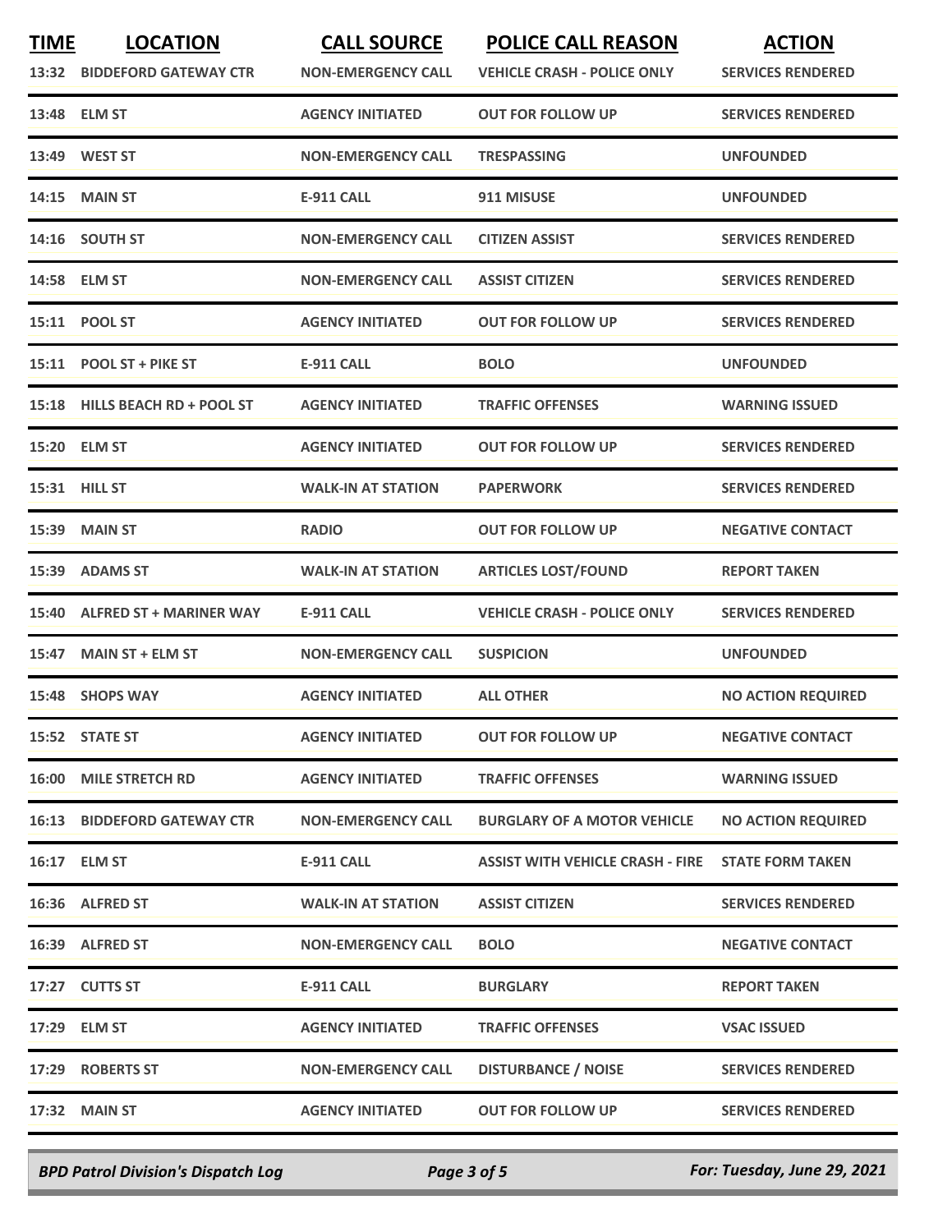| <b>TIME</b> | <b>LOCATION</b>                    | <b>CALL SOURCE</b>        | <b>POLICE CALL REASON</b>               | <b>ACTION</b>             |
|-------------|------------------------------------|---------------------------|-----------------------------------------|---------------------------|
|             | 13:32 BIDDEFORD GATEWAY CTR        | <b>NON-EMERGENCY CALL</b> | <b>VEHICLE CRASH - POLICE ONLY</b>      | <b>SERVICES RENDERED</b>  |
| 13:48       | ELM ST                             | <b>AGENCY INITIATED</b>   | <b>OUT FOR FOLLOW UP</b>                | <b>SERVICES RENDERED</b>  |
| 13:49       | <b>WEST ST</b>                     | <b>NON-EMERGENCY CALL</b> | <b>TRESPASSING</b>                      | <b>UNFOUNDED</b>          |
| 14:15       | <b>MAIN ST</b>                     | <b>E-911 CALL</b>         | 911 MISUSE                              | <b>UNFOUNDED</b>          |
|             | 14:16 SOUTH ST                     | <b>NON-EMERGENCY CALL</b> | <b>CITIZEN ASSIST</b>                   | <b>SERVICES RENDERED</b>  |
|             | 14:58 ELM ST                       | <b>NON-EMERGENCY CALL</b> | <b>ASSIST CITIZEN</b>                   | <b>SERVICES RENDERED</b>  |
|             | 15:11 POOL ST                      | <b>AGENCY INITIATED</b>   | <b>OUT FOR FOLLOW UP</b>                | <b>SERVICES RENDERED</b>  |
|             | 15:11 POOL ST + PIKE ST            | <b>E-911 CALL</b>         | <b>BOLO</b>                             | <b>UNFOUNDED</b>          |
|             | 15:18 HILLS BEACH RD + POOL ST     | <b>AGENCY INITIATED</b>   | <b>TRAFFIC OFFENSES</b>                 | <b>WARNING ISSUED</b>     |
|             | 15:20 ELM ST                       | <b>AGENCY INITIATED</b>   | <b>OUT FOR FOLLOW UP</b>                | <b>SERVICES RENDERED</b>  |
|             | 15:31 HILL ST                      | <b>WALK-IN AT STATION</b> | <b>PAPERWORK</b>                        | <b>SERVICES RENDERED</b>  |
| 15:39       | <b>MAIN ST</b>                     | <b>RADIO</b>              | <b>OUT FOR FOLLOW UP</b>                | <b>NEGATIVE CONTACT</b>   |
| 15:39       | <b>ADAMS ST</b>                    | <b>WALK-IN AT STATION</b> | <b>ARTICLES LOST/FOUND</b>              | <b>REPORT TAKEN</b>       |
| 15:40       | <b>ALFRED ST + MARINER WAY</b>     | <b>E-911 CALL</b>         | <b>VEHICLE CRASH - POLICE ONLY</b>      | <b>SERVICES RENDERED</b>  |
| 15:47       | <b>MAIN ST + ELM ST</b>            | <b>NON-EMERGENCY CALL</b> | <b>SUSPICION</b>                        | <b>UNFOUNDED</b>          |
| 15:48       | <b>SHOPS WAY</b>                   | <b>AGENCY INITIATED</b>   | <b>ALL OTHER</b>                        | <b>NO ACTION REQUIRED</b> |
|             | 15:52 STATE ST                     | <b>AGENCY INITIATED</b>   | <b>OUT FOR FOLLOW UP</b>                | <b>NEGATIVE CONTACT</b>   |
|             | 16:00 MILE STRETCH RD              | <b>AGENCY INITIATED</b>   | <b>TRAFFIC OFFENSES</b>                 | <b>WARNING ISSUED</b>     |
|             | <b>16:13 BIDDEFORD GATEWAY CTR</b> | <b>NON-EMERGENCY CALL</b> | <b>BURGLARY OF A MOTOR VEHICLE</b>      | <b>NO ACTION REQUIRED</b> |
|             | 16:17 ELM ST                       | <b>E-911 CALL</b>         | <b>ASSIST WITH VEHICLE CRASH - FIRE</b> | <b>STATE FORM TAKEN</b>   |
|             | 16:36 ALFRED ST                    | <b>WALK-IN AT STATION</b> | <b>ASSIST CITIZEN</b>                   | <b>SERVICES RENDERED</b>  |
|             | 16:39 ALFRED ST                    | <b>NON-EMERGENCY CALL</b> | <b>BOLO</b>                             | <b>NEGATIVE CONTACT</b>   |
|             | 17:27 CUTTS ST                     | <b>E-911 CALL</b>         | <b>BURGLARY</b>                         | <b>REPORT TAKEN</b>       |
|             | 17:29 ELM ST                       | <b>AGENCY INITIATED</b>   | <b>TRAFFIC OFFENSES</b>                 | <b>VSAC ISSUED</b>        |
|             | 17:29 ROBERTS ST                   | <b>NON-EMERGENCY CALL</b> | <b>DISTURBANCE / NOISE</b>              | <b>SERVICES RENDERED</b>  |
|             | 17:32 MAIN ST                      | <b>AGENCY INITIATED</b>   | <b>OUT FOR FOLLOW UP</b>                | <b>SERVICES RENDERED</b>  |
|             |                                    |                           |                                         |                           |

*BPD Patrol Division's Dispatch Log Page 3 of 5 For: Tuesday, June 29, 2021*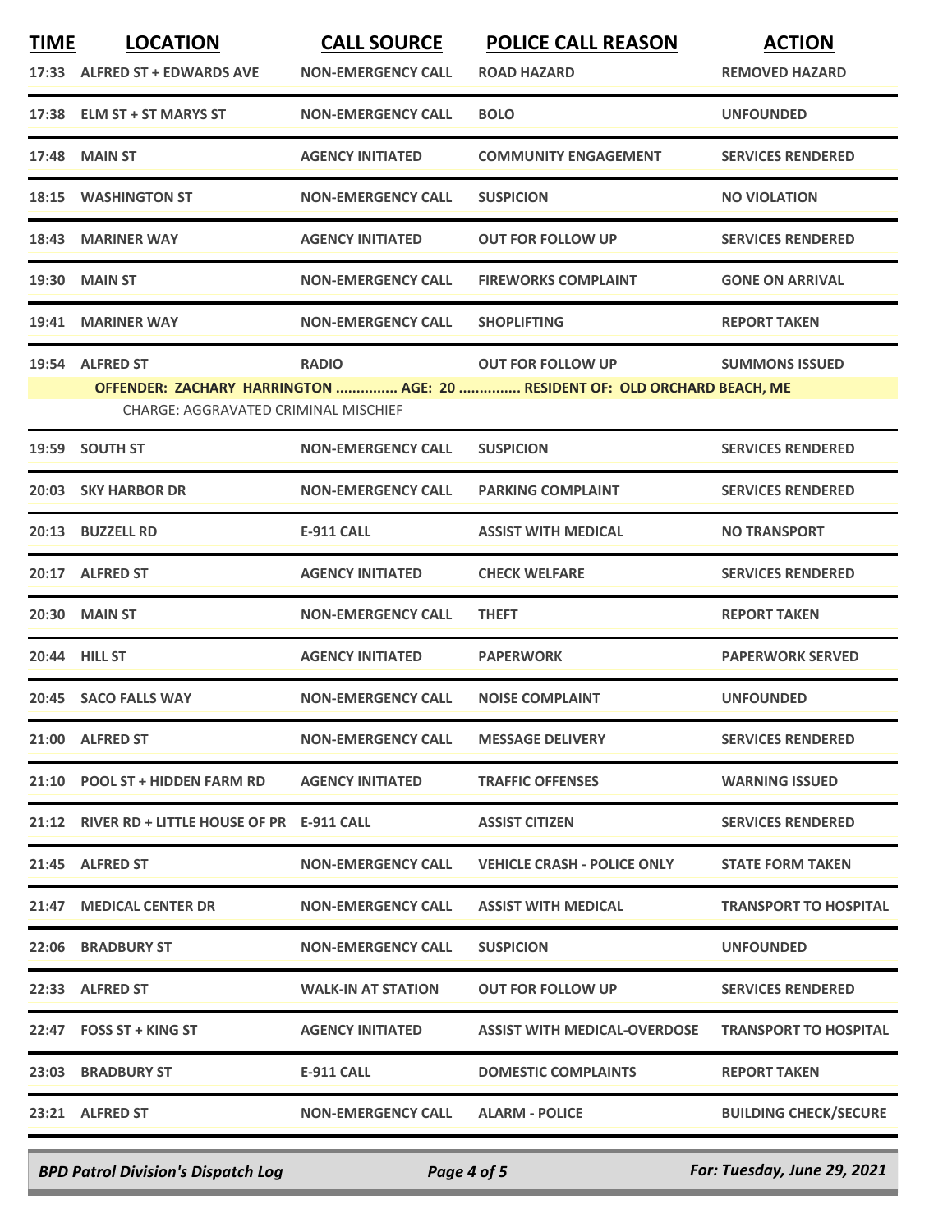| <b>TIME</b> | <b>LOCATION</b>                                         | <b>CALL SOURCE</b>        | <b>POLICE CALL REASON</b>                                                                             | <b>ACTION</b>                |
|-------------|---------------------------------------------------------|---------------------------|-------------------------------------------------------------------------------------------------------|------------------------------|
|             | 17:33 ALFRED ST + EDWARDS AVE                           | <b>NON-EMERGENCY CALL</b> | <b>ROAD HAZARD</b>                                                                                    | <b>REMOVED HAZARD</b>        |
|             | 17:38 ELM ST + ST MARYS ST                              | <b>NON-EMERGENCY CALL</b> | <b>BOLO</b>                                                                                           | <b>UNFOUNDED</b>             |
| 17:48       | <b>MAIN ST</b>                                          | <b>AGENCY INITIATED</b>   | <b>COMMUNITY ENGAGEMENT</b>                                                                           | <b>SERVICES RENDERED</b>     |
|             | <b>18:15 WASHINGTON ST</b>                              | <b>NON-EMERGENCY CALL</b> | <b>SUSPICION</b>                                                                                      | <b>NO VIOLATION</b>          |
| 18:43       | <b>MARINER WAY</b>                                      | <b>AGENCY INITIATED</b>   | <b>OUT FOR FOLLOW UP</b>                                                                              | <b>SERVICES RENDERED</b>     |
|             | 19:30 MAIN ST                                           | <b>NON-EMERGENCY CALL</b> | <b>FIREWORKS COMPLAINT</b>                                                                            | <b>GONE ON ARRIVAL</b>       |
| 19:41       | <b>MARINER WAY</b>                                      | <b>NON-EMERGENCY CALL</b> | <b>SHOPLIFTING</b>                                                                                    | <b>REPORT TAKEN</b>          |
|             | 19:54 ALFRED ST<br>CHARGE: AGGRAVATED CRIMINAL MISCHIEF | <b>RADIO</b>              | <b>OUT FOR FOLLOW UP</b><br>OFFENDER: ZACHARY HARRINGTON  AGE: 20  RESIDENT OF: OLD ORCHARD BEACH, ME | <b>SUMMONS ISSUED</b>        |
|             | 19:59 SOUTH ST                                          | <b>NON-EMERGENCY CALL</b> | <b>SUSPICION</b>                                                                                      | <b>SERVICES RENDERED</b>     |
|             | 20:03 SKY HARBOR DR                                     | <b>NON-EMERGENCY CALL</b> | <b>PARKING COMPLAINT</b>                                                                              | <b>SERVICES RENDERED</b>     |
|             | 20:13 BUZZELL RD                                        | <b>E-911 CALL</b>         | <b>ASSIST WITH MEDICAL</b>                                                                            | <b>NO TRANSPORT</b>          |
|             | 20:17 ALFRED ST                                         | <b>AGENCY INITIATED</b>   | <b>CHECK WELFARE</b>                                                                                  | <b>SERVICES RENDERED</b>     |
|             | <b>20:30 MAIN ST</b>                                    | <b>NON-EMERGENCY CALL</b> | <b>THEFT</b>                                                                                          | <b>REPORT TAKEN</b>          |
| 20:44       | <b>HILL ST</b>                                          | <b>AGENCY INITIATED</b>   | <b>PAPERWORK</b>                                                                                      | <b>PAPERWORK SERVED</b>      |
|             | 20:45 SACO FALLS WAY                                    | <b>NON-EMERGENCY CALL</b> | <b>NOISE COMPLAINT</b>                                                                                | <b>UNFOUNDED</b>             |
|             | 21:00 ALFRED ST                                         | <b>NON-EMERGENCY CALL</b> | <b>MESSAGE DELIVERY</b>                                                                               | <b>SERVICES RENDERED</b>     |
|             | 21:10 POOL ST + HIDDEN FARM RD                          | <b>AGENCY INITIATED</b>   | <b>TRAFFIC OFFENSES</b>                                                                               | <b>WARNING ISSUED</b>        |
|             | 21:12 RIVER RD + LITTLE HOUSE OF PR E-911 CALL          |                           | <b>ASSIST CITIZEN</b>                                                                                 | <b>SERVICES RENDERED</b>     |
|             | 21:45 ALFRED ST                                         | <b>NON-EMERGENCY CALL</b> | <b>VEHICLE CRASH - POLICE ONLY</b>                                                                    | <b>STATE FORM TAKEN</b>      |
|             | 21:47 MEDICAL CENTER DR                                 | <b>NON-EMERGENCY CALL</b> | <b>ASSIST WITH MEDICAL</b>                                                                            | <b>TRANSPORT TO HOSPITAL</b> |
|             | <b>22:06 BRADBURY ST</b>                                | <b>NON-EMERGENCY CALL</b> | <b>SUSPICION</b>                                                                                      | <b>UNFOUNDED</b>             |
|             | 22:33 ALFRED ST                                         | <b>WALK-IN AT STATION</b> | <b>OUT FOR FOLLOW UP</b>                                                                              | <b>SERVICES RENDERED</b>     |
|             | 22:47 FOSS ST + KING ST                                 | <b>AGENCY INITIATED</b>   | ASSIST WITH MEDICAL-OVERDOSE                                                                          | <b>TRANSPORT TO HOSPITAL</b> |
|             | 23:03 BRADBURY ST                                       | E-911 CALL                | <b>DOMESTIC COMPLAINTS</b>                                                                            | <b>REPORT TAKEN</b>          |
|             | 23:21 ALFRED ST                                         | <b>NON-EMERGENCY CALL</b> | <b>ALARM - POLICE</b>                                                                                 | <b>BUILDING CHECK/SECURE</b> |
|             |                                                         |                           |                                                                                                       |                              |

*BPD Patrol Division's Dispatch Log Page 4 of 5 For: Tuesday, June 29, 2021*